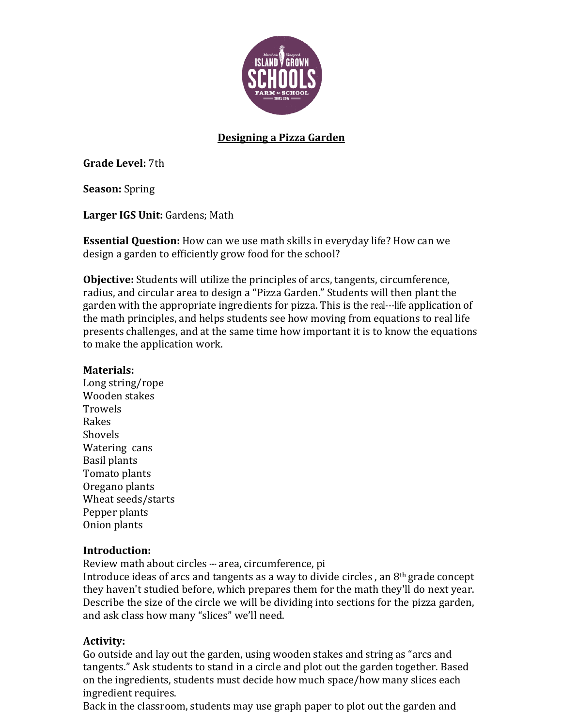

## **Designing a Pizza Garden**

**Grade Level:** 7th

**Season:** Spring

Larger IGS Unit: Gardens; Math

**Essential Question:** How can we use math skills in everyday life? How can we design a garden to efficiently grow food for the school?

**Objective:** Students will utilize the principles of arcs, tangents, circumference, radius, and circular area to design a "Pizza Garden." Students will then plant the garden with the appropriate ingredients for pizza. This is the real---life application of the math principles, and helps students see how moving from equations to real life presents challenges, and at the same time how important it is to know the equations to make the application work.

#### **Materials:**

Long string/rope Wooden stakes **Trowels** Rakes Shovels Watering cans Basil plants Tomato plants Oregano plants Wheat seeds/starts Pepper plants Onion plants

### **Introduction:**

Review math about circles --- area, circumference, pi

Introduce ideas of arcs and tangents as a way to divide circles, an  $8<sup>th</sup>$  grade concept they haven't studied before, which prepares them for the math they'll do next year. Describe the size of the circle we will be dividing into sections for the pizza garden, and ask class how many "slices" we'll need.

### **Activity:**

Go outside and lay out the garden, using wooden stakes and string as "arcs and tangents." Ask students to stand in a circle and plot out the garden together. Based on the ingredients, students must decide how much space/how many slices each ingredient requires.

Back in the classroom, students may use graph paper to plot out the garden and